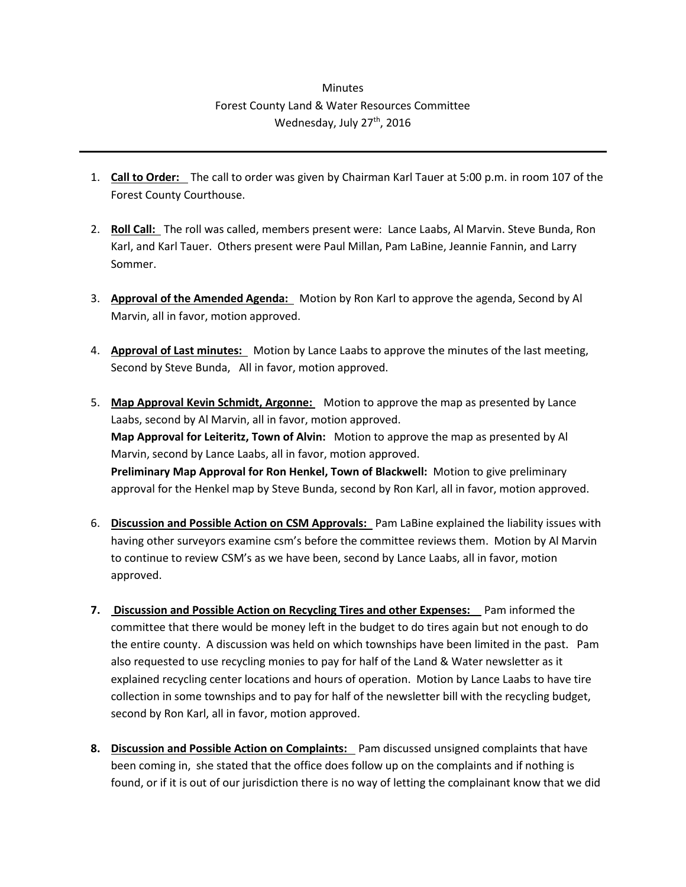## **Minutes** Forest County Land & Water Resources Committee Wednesday, July 27<sup>th</sup>, 2016

- 1. **Call to Order:** The call to order was given by Chairman Karl Tauer at 5:00 p.m. in room 107 of the Forest County Courthouse.
- 2. **Roll Call:** The roll was called, members present were: Lance Laabs, Al Marvin. Steve Bunda, Ron Karl, and Karl Tauer. Others present were Paul Millan, Pam LaBine, Jeannie Fannin, and Larry Sommer.
- 3. **Approval of the Amended Agenda:** Motion by Ron Karl to approve the agenda, Second by Al Marvin, all in favor, motion approved.
- 4. **Approval of Last minutes:** Motion by Lance Laabs to approve the minutes of the last meeting, Second by Steve Bunda, All in favor, motion approved.
- 5. **Map Approval Kevin Schmidt, Argonne:** Motion to approve the map as presented by Lance Laabs, second by Al Marvin, all in favor, motion approved. **Map Approval for Leiteritz, Town of Alvin:** Motion to approve the map as presented by Al Marvin, second by Lance Laabs, all in favor, motion approved. **Preliminary Map Approval for Ron Henkel, Town of Blackwell:** Motion to give preliminary approval for the Henkel map by Steve Bunda, second by Ron Karl, all in favor, motion approved.
- 6. **Discussion and Possible Action on CSM Approvals:** Pam LaBine explained the liability issues with having other surveyors examine csm's before the committee reviews them. Motion by Al Marvin to continue to review CSM's as we have been, second by Lance Laabs, all in favor, motion approved.
- **7. Discussion and Possible Action on Recycling Tires and other Expenses:** Pam informed the committee that there would be money left in the budget to do tires again but not enough to do the entire county. A discussion was held on which townships have been limited in the past. Pam also requested to use recycling monies to pay for half of the Land & Water newsletter as it explained recycling center locations and hours of operation. Motion by Lance Laabs to have tire collection in some townships and to pay for half of the newsletter bill with the recycling budget, second by Ron Karl, all in favor, motion approved.
- **8. Discussion and Possible Action on Complaints:** Pam discussed unsigned complaints that have been coming in, she stated that the office does follow up on the complaints and if nothing is found, or if it is out of our jurisdiction there is no way of letting the complainant know that we did